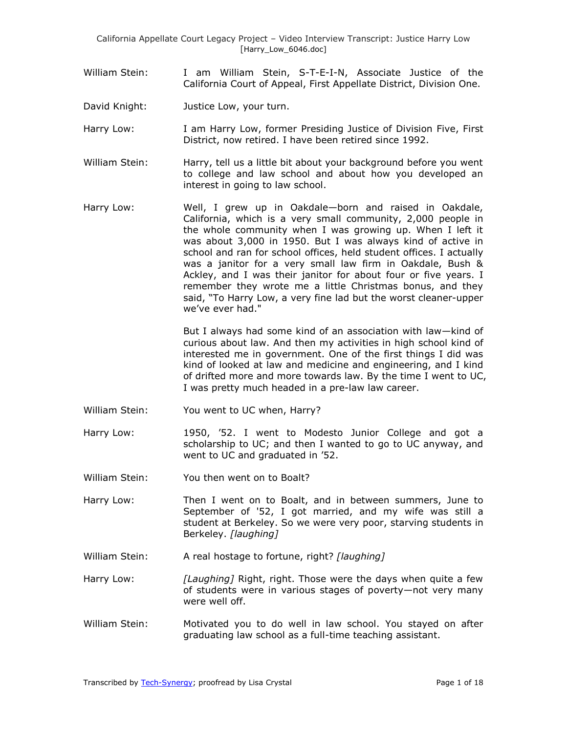California Appellate Court Legacy Project – Video Interview Transcript: Justice Harry Low [Harry\_Low\_6046.doc]

- William Stein: I am William Stein, S-T-E-I-N, Associate Justice of the California Court of Appeal, First Appellate District, Division One.
- David Knight: Justice Low, your turn.
- Harry Low: I am Harry Low, former Presiding Justice of Division Five, First District, now retired. I have been retired since 1992.
- William Stein: Harry, tell us a little bit about your background before you went to college and law school and about how you developed an interest in going to law school.
- Harry Low: Well, I grew up in Oakdale—born and raised in Oakdale, California, which is a very small community, 2,000 people in the whole community when I was growing up. When I left it was about 3,000 in 1950. But I was always kind of active in school and ran for school offices, held student offices. I actually was a janitor for a very small law firm in Oakdale, Bush & Ackley, and I was their janitor for about four or five years. I remember they wrote me a little Christmas bonus, and they said, "To Harry Low, a very fine lad but the worst cleaner-upper we've ever had."

But I always had some kind of an association with law—kind of curious about law. And then my activities in high school kind of interested me in government. One of the first things I did was kind of looked at law and medicine and engineering, and I kind of drifted more and more towards law. By the time I went to UC, I was pretty much headed in a pre-law law career.

- William Stein: You went to UC when, Harry?
- Harry Low: 1950, '52. I went to Modesto Junior College and got a scholarship to UC; and then I wanted to go to UC anyway, and went to UC and graduated in '52.
- William Stein: You then went on to Boalt?
- Harry Low: Then I went on to Boalt, and in between summers, June to September of '52, I got married, and my wife was still a student at Berkeley. So we were very poor, starving students in Berkeley. *[laughing]*
- William Stein: A real hostage to fortune, right? *[laughing]*

Harry Low: *[Laughing]* Right, right. Those were the days when quite a few of students were in various stages of poverty—not very many were well off.

William Stein: Motivated you to do well in law school. You stayed on after graduating law school as a full-time teaching assistant.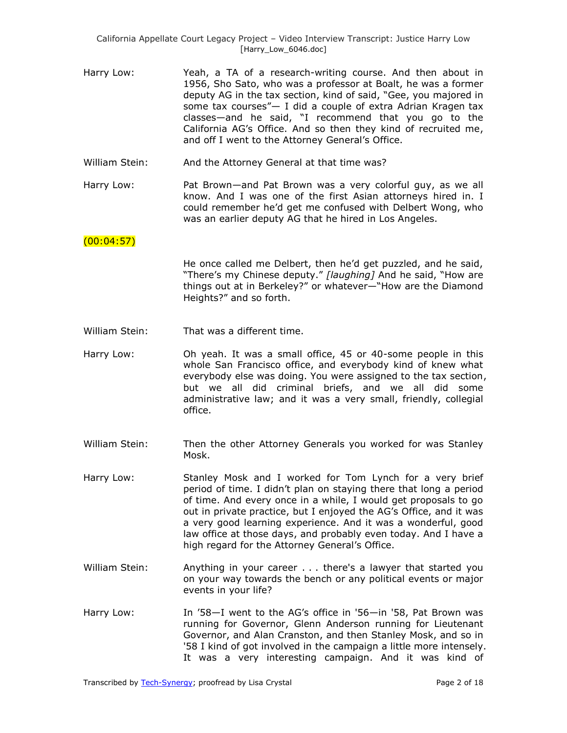- Harry Low: Yeah, a TA of a research-writing course. And then about in 1956, Sho Sato, who was a professor at Boalt, he was a former deputy AG in the tax section, kind of said, "Gee, you majored in some tax courses" $-$  I did a couple of extra Adrian Kragen tax classes—and he said, "I recommend that you go to the California AG's Office. And so then they kind of recruited me, and off I went to the Attorney General's Office.
- William Stein: And the Attorney General at that time was?
- Harry Low: Pat Brown—and Pat Brown was a very colorful guy, as we all know. And I was one of the first Asian attorneys hired in. I could remember he'd get me confused with Delbert Wong, who was an earlier deputy AG that he hired in Los Angeles.

#### $(00:04:57)$

He once called me Delbert, then he'd get puzzled, and he said, "There's my Chinese deputy." [laughing] And he said, "How are things out at in Berkeley?" or whatever—"How are the Diamond Heights?" and so forth.

- William Stein: That was a different time.
- Harry Low: Oh yeah. It was a small office, 45 or 40-some people in this whole San Francisco office, and everybody kind of knew what everybody else was doing. You were assigned to the tax section, but we all did criminal briefs, and we all did some administrative law; and it was a very small, friendly, collegial office.
- William Stein: Then the other Attorney Generals you worked for was Stanley Mosk.
- Harry Low: Stanley Mosk and I worked for Tom Lynch for a very brief period of time. I didn't plan on staying there that long a period of time. And every once in a while, I would get proposals to go out in private practice, but I enjoyed the AG's Office, and it was a very good learning experience. And it was a wonderful, good law office at those days, and probably even today. And I have a high regard for the Attorney General's Office.
- William Stein: Anything in your career . . . there's a lawyer that started you on your way towards the bench or any political events or major events in your life?
- Harry Low: In '58—I went to the AG's office in '56—in '58, Pat Brown was running for Governor, Glenn Anderson running for Lieutenant Governor, and Alan Cranston, and then Stanley Mosk, and so in '58 I kind of got involved in the campaign a little more intensely. It was a very interesting campaign. And it was kind of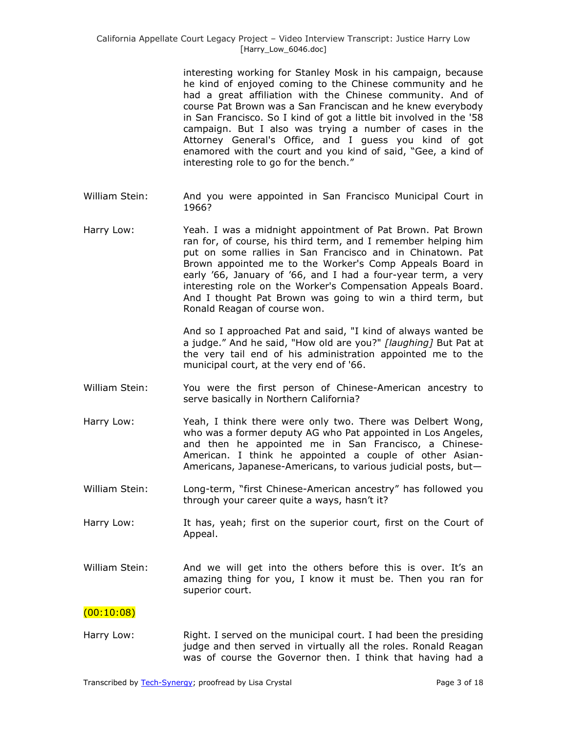interesting working for Stanley Mosk in his campaign, because he kind of enjoyed coming to the Chinese community and he had a great affiliation with the Chinese community. And of course Pat Brown was a San Franciscan and he knew everybody in San Francisco. So I kind of got a little bit involved in the '58 campaign. But I also was trying a number of cases in the Attorney General's Office, and I guess you kind of got enamored with the court and you kind of said, "Gee, a kind of interesting role to go for the bench."

- William Stein: And you were appointed in San Francisco Municipal Court in 1966?
- Harry Low: Yeah. I was a midnight appointment of Pat Brown. Pat Brown ran for, of course, his third term, and I remember helping him put on some rallies in San Francisco and in Chinatown. Pat Brown appointed me to the Worker's Comp Appeals Board in early '66, January of '66, and I had a four-year term, a very interesting role on the Worker's Compensation Appeals Board. And I thought Pat Brown was going to win a third term, but Ronald Reagan of course won.

And so I approached Pat and said, "I kind of always wanted be a judge.‖ And he said, "How old are you?" *[laughing]* But Pat at the very tail end of his administration appointed me to the municipal court, at the very end of '66.

- William Stein: You were the first person of Chinese-American ancestry to serve basically in Northern California?
- Harry Low: Yeah, I think there were only two. There was Delbert Wong, who was a former deputy AG who Pat appointed in Los Angeles, and then he appointed me in San Francisco, a Chinese-American. I think he appointed a couple of other Asian-Americans, Japanese-Americans, to various judicial posts, but—
- William Stein: Long-term, "first Chinese-American ancestry" has followed you through your career quite a ways, hasn't it?
- Harry Low: It has, yeah; first on the superior court, first on the Court of Appeal.
- William Stein: And we will get into the others before this is over. It's an amazing thing for you, I know it must be. Then you ran for superior court.

### $(00:10:08)$

Harry Low: Right. I served on the municipal court. I had been the presiding judge and then served in virtually all the roles. Ronald Reagan was of course the Governor then. I think that having had a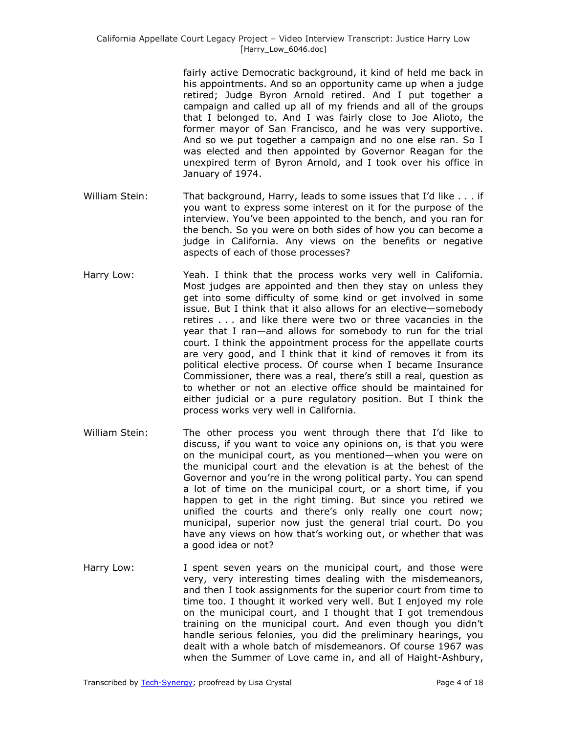fairly active Democratic background, it kind of held me back in his appointments. And so an opportunity came up when a judge retired; Judge Byron Arnold retired. And I put together a campaign and called up all of my friends and all of the groups that I belonged to. And I was fairly close to Joe Alioto, the former mayor of San Francisco, and he was very supportive. And so we put together a campaign and no one else ran. So I was elected and then appointed by Governor Reagan for the unexpired term of Byron Arnold, and I took over his office in January of 1974.

- William Stein: That background, Harry, leads to some issues that I'd like . . . if you want to express some interest on it for the purpose of the interview. You've been appointed to the bench, and you ran for the bench. So you were on both sides of how you can become a judge in California. Any views on the benefits or negative aspects of each of those processes?
- Harry Low: Yeah. I think that the process works very well in California. Most judges are appointed and then they stay on unless they get into some difficulty of some kind or get involved in some issue. But I think that it also allows for an elective—somebody retires . . . and like there were two or three vacancies in the year that I ran—and allows for somebody to run for the trial court. I think the appointment process for the appellate courts are very good, and I think that it kind of removes it from its political elective process. Of course when I became Insurance Commissioner, there was a real, there's still a real, question as to whether or not an elective office should be maintained for either judicial or a pure regulatory position. But I think the process works very well in California.
- William Stein: The other process you went through there that I'd like to discuss, if you want to voice any opinions on, is that you were on the municipal court, as you mentioned—when you were on the municipal court and the elevation is at the behest of the Governor and you're in the wrong political party. You can spend a lot of time on the municipal court, or a short time, if you happen to get in the right timing. But since you retired we unified the courts and there's only really one court now; municipal, superior now just the general trial court. Do you have any views on how that's working out, or whether that was a good idea or not?
- Harry Low: I spent seven years on the municipal court, and those were very, very interesting times dealing with the misdemeanors, and then I took assignments for the superior court from time to time too. I thought it worked very well. But I enjoyed my role on the municipal court, and I thought that I got tremendous training on the municipal court. And even though you didn't handle serious felonies, you did the preliminary hearings, you dealt with a whole batch of misdemeanors. Of course 1967 was when the Summer of Love came in, and all of Haight-Ashbury,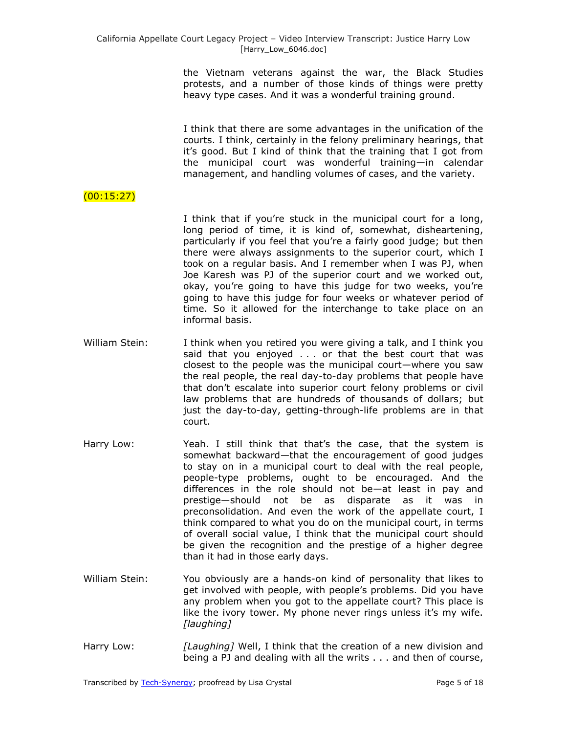the Vietnam veterans against the war, the Black Studies protests, and a number of those kinds of things were pretty heavy type cases. And it was a wonderful training ground.

I think that there are some advantages in the unification of the courts. I think, certainly in the felony preliminary hearings, that it's good. But I kind of think that the training that I got from the municipal court was wonderful training—in calendar management, and handling volumes of cases, and the variety.

# (00:15:27)

I think that if you're stuck in the municipal court for a long, long period of time, it is kind of, somewhat, disheartening, particularly if you feel that you're a fairly good judge; but then there were always assignments to the superior court, which I took on a regular basis. And I remember when I was PJ, when Joe Karesh was PJ of the superior court and we worked out, okay, you're going to have this judge for two weeks, you're going to have this judge for four weeks or whatever period of time. So it allowed for the interchange to take place on an informal basis.

- William Stein: I think when you retired you were giving a talk, and I think you said that you enjoyed . . . or that the best court that was closest to the people was the municipal court—where you saw the real people, the real day-to-day problems that people have that don't escalate into superior court felony problems or civil law problems that are hundreds of thousands of dollars; but just the day-to-day, getting-through-life problems are in that court.
- Harry Low: Yeah. I still think that that's the case, that the system is somewhat backward—that the encouragement of good judges to stay on in a municipal court to deal with the real people, people-type problems, ought to be encouraged. And the differences in the role should not be—at least in pay and prestige—should not be as disparate as it was in preconsolidation. And even the work of the appellate court, I think compared to what you do on the municipal court, in terms of overall social value, I think that the municipal court should be given the recognition and the prestige of a higher degree than it had in those early days.
- William Stein: You obviously are a hands-on kind of personality that likes to get involved with people, with people's problems. Did you have any problem when you got to the appellate court? This place is like the ivory tower. My phone never rings unless it's my wife. *[laughing]*
- Harry Low: *[Laughing]* Well, I think that the creation of a new division and being a PJ and dealing with all the writs . . . and then of course,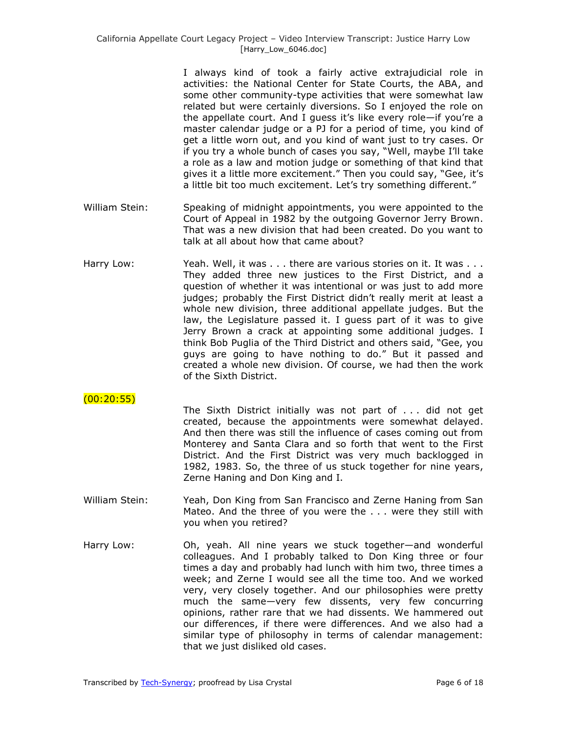I always kind of took a fairly active extrajudicial role in activities: the National Center for State Courts, the ABA, and some other community-type activities that were somewhat law related but were certainly diversions. So I enjoyed the role on the appellate court. And I guess it's like every role—if you're a master calendar judge or a PJ for a period of time, you kind of get a little worn out, and you kind of want just to try cases. Or if you try a whole bunch of cases you say, "Well, maybe I'll take a role as a law and motion judge or something of that kind that gives it a little more excitement." Then you could say, "Gee, it's a little bit too much excitement. Let's try something different."

- William Stein: Speaking of midnight appointments, you were appointed to the Court of Appeal in 1982 by the outgoing Governor Jerry Brown. That was a new division that had been created. Do you want to talk at all about how that came about?
- Harry Low: Yeah. Well, it was . . . there are various stories on it. It was . . . They added three new justices to the First District, and a question of whether it was intentional or was just to add more judges; probably the First District didn't really merit at least a whole new division, three additional appellate judges. But the law, the Legislature passed it. I guess part of it was to give Jerry Brown a crack at appointing some additional judges. I think Bob Puglia of the Third District and others said, "Gee, you guys are going to have nothing to do.‖ But it passed and created a whole new division. Of course, we had then the work of the Sixth District.

### $(00:20:55)$

The Sixth District initially was not part of . . . did not get created, because the appointments were somewhat delayed. And then there was still the influence of cases coming out from Monterey and Santa Clara and so forth that went to the First District. And the First District was very much backlogged in 1982, 1983. So, the three of us stuck together for nine years, Zerne Haning and Don King and I.

- William Stein: Yeah, Don King from San Francisco and Zerne Haning from San Mateo. And the three of you were the . . . were they still with you when you retired?
- Harry Low: Oh, yeah. All nine years we stuck together—and wonderful colleagues. And I probably talked to Don King three or four times a day and probably had lunch with him two, three times a week; and Zerne I would see all the time too. And we worked very, very closely together. And our philosophies were pretty much the same—very few dissents, very few concurring opinions, rather rare that we had dissents. We hammered out our differences, if there were differences. And we also had a similar type of philosophy in terms of calendar management: that we just disliked old cases.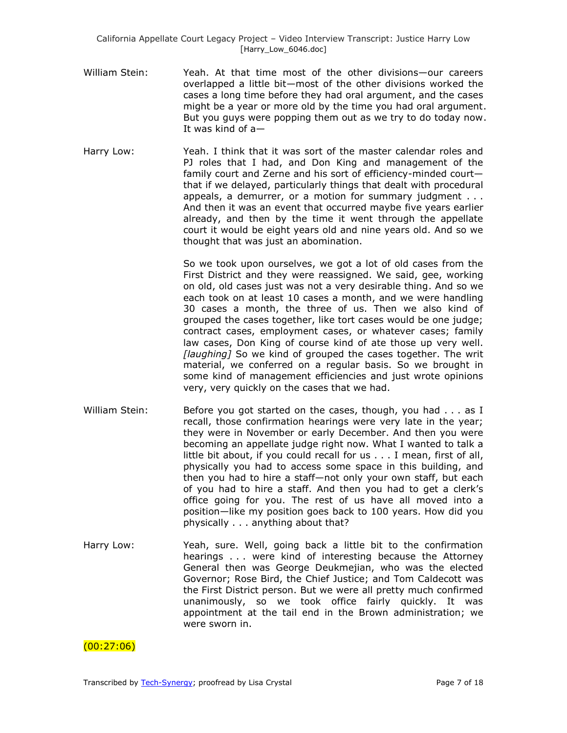- William Stein: Yeah. At that time most of the other divisions—our careers overlapped a little bit—most of the other divisions worked the cases a long time before they had oral argument, and the cases might be a year or more old by the time you had oral argument. But you guys were popping them out as we try to do today now. It was kind of a—
- Harry Low: Yeah. I think that it was sort of the master calendar roles and PJ roles that I had, and Don King and management of the family court and Zerne and his sort of efficiency-minded court that if we delayed, particularly things that dealt with procedural appeals, a demurrer, or a motion for summary judgment . . . And then it was an event that occurred maybe five years earlier already, and then by the time it went through the appellate court it would be eight years old and nine years old. And so we thought that was just an abomination.

So we took upon ourselves, we got a lot of old cases from the First District and they were reassigned. We said, gee, working on old, old cases just was not a very desirable thing. And so we each took on at least 10 cases a month, and we were handling 30 cases a month, the three of us. Then we also kind of grouped the cases together, like tort cases would be one judge; contract cases, employment cases, or whatever cases; family law cases, Don King of course kind of ate those up very well. *[laughing]* So we kind of grouped the cases together. The writ material, we conferred on a regular basis. So we brought in some kind of management efficiencies and just wrote opinions very, very quickly on the cases that we had.

- William Stein: Before you got started on the cases, though, you had . . . as I recall, those confirmation hearings were very late in the year; they were in November or early December. And then you were becoming an appellate judge right now. What I wanted to talk a little bit about, if you could recall for us . . . I mean, first of all, physically you had to access some space in this building, and then you had to hire a staff—not only your own staff, but each of you had to hire a staff. And then you had to get a clerk's office going for you. The rest of us have all moved into a position—like my position goes back to 100 years. How did you physically . . . anything about that?
- Harry Low: Yeah, sure. Well, going back a little bit to the confirmation hearings . . . were kind of interesting because the Attorney General then was George Deukmejian, who was the elected Governor; Rose Bird, the Chief Justice; and Tom Caldecott was the First District person. But we were all pretty much confirmed unanimously, so we took office fairly quickly. It was appointment at the tail end in the Brown administration; we were sworn in.

# $(00:27:06)$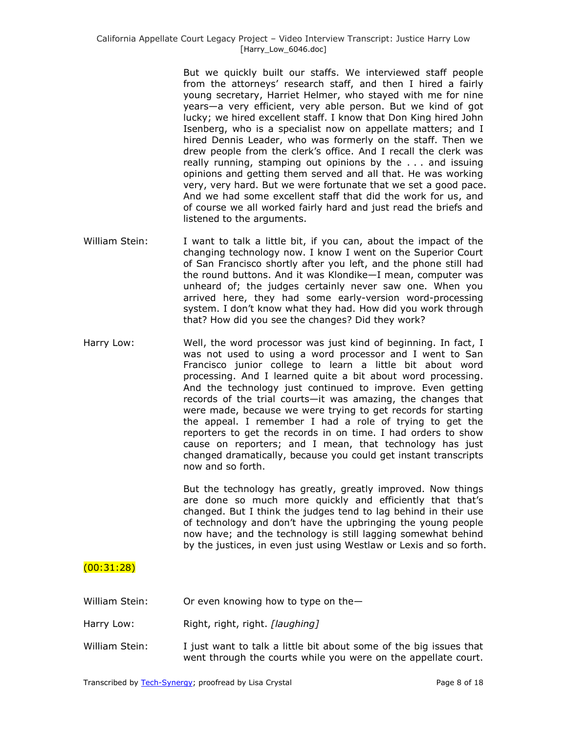But we quickly built our staffs. We interviewed staff people from the attorneys' research staff, and then I hired a fairly young secretary, Harriet Helmer, who stayed with me for nine years—a very efficient, very able person. But we kind of got lucky; we hired excellent staff. I know that Don King hired John Isenberg, who is a specialist now on appellate matters; and I hired Dennis Leader, who was formerly on the staff. Then we drew people from the clerk's office. And I recall the clerk was really running, stamping out opinions by the . . . and issuing opinions and getting them served and all that. He was working very, very hard. But we were fortunate that we set a good pace. And we had some excellent staff that did the work for us, and of course we all worked fairly hard and just read the briefs and listened to the arguments.

- William Stein: I want to talk a little bit, if you can, about the impact of the changing technology now. I know I went on the Superior Court of San Francisco shortly after you left, and the phone still had the round buttons. And it was Klondike—I mean, computer was unheard of; the judges certainly never saw one. When you arrived here, they had some early-version word-processing system. I don't know what they had. How did you work through that? How did you see the changes? Did they work?
- Harry Low: Well, the word processor was just kind of beginning. In fact, I was not used to using a word processor and I went to San Francisco junior college to learn a little bit about word processing. And I learned quite a bit about word processing. And the technology just continued to improve. Even getting records of the trial courts—it was amazing, the changes that were made, because we were trying to get records for starting the appeal. I remember I had a role of trying to get the reporters to get the records in on time. I had orders to show cause on reporters; and I mean, that technology has just changed dramatically, because you could get instant transcripts now and so forth.

But the technology has greatly, greatly improved. Now things are done so much more quickly and efficiently that that's changed. But I think the judges tend to lag behind in their use of technology and don't have the upbringing the young people now have; and the technology is still lagging somewhat behind by the justices, in even just using Westlaw or Lexis and so forth.

# (00:31:28)

- William Stein: Or even knowing how to type on the-
- Harry Low: Right, right, right. *[laughing]*
- William Stein: I just want to talk a little bit about some of the big issues that went through the courts while you were on the appellate court.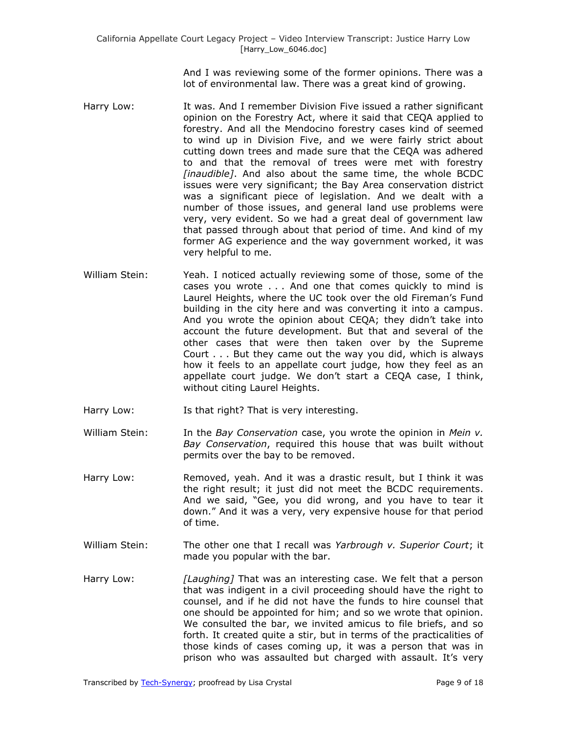And I was reviewing some of the former opinions. There was a lot of environmental law. There was a great kind of growing.

- Harry Low: It was. And I remember Division Five issued a rather significant opinion on the Forestry Act, where it said that CEQA applied to forestry. And all the Mendocino forestry cases kind of seemed to wind up in Division Five, and we were fairly strict about cutting down trees and made sure that the CEQA was adhered to and that the removal of trees were met with forestry *[inaudible]*. And also about the same time, the whole BCDC issues were very significant; the Bay Area conservation district was a significant piece of legislation. And we dealt with a number of those issues, and general land use problems were very, very evident. So we had a great deal of government law that passed through about that period of time. And kind of my former AG experience and the way government worked, it was very helpful to me.
- William Stein: Yeah. I noticed actually reviewing some of those, some of the cases you wrote . . . And one that comes quickly to mind is Laurel Heights, where the UC took over the old Fireman's Fund building in the city here and was converting it into a campus. And you wrote the opinion about CEQA; they didn't take into account the future development. But that and several of the other cases that were then taken over by the Supreme Court . . . But they came out the way you did, which is always how it feels to an appellate court judge, how they feel as an appellate court judge. We don't start a CEQA case, I think, without citing Laurel Heights.
- Harry Low: Is that right? That is very interesting.
- William Stein: In the *Bay Conservation* case, you wrote the opinion in *Mein v. Bay Conservation*, required this house that was built without permits over the bay to be removed.
- Harry Low: Removed, yeah. And it was a drastic result, but I think it was the right result; it just did not meet the BCDC requirements. And we said, "Gee, you did wrong, and you have to tear it down." And it was a very, very expensive house for that period of time.
- William Stein: The other one that I recall was *Yarbrough v. Superior Court*; it made you popular with the bar.
- Harry Low: *[Laughing]* That was an interesting case. We felt that a person that was indigent in a civil proceeding should have the right to counsel, and if he did not have the funds to hire counsel that one should be appointed for him; and so we wrote that opinion. We consulted the bar, we invited amicus to file briefs, and so forth. It created quite a stir, but in terms of the practicalities of those kinds of cases coming up, it was a person that was in prison who was assaulted but charged with assault. It's very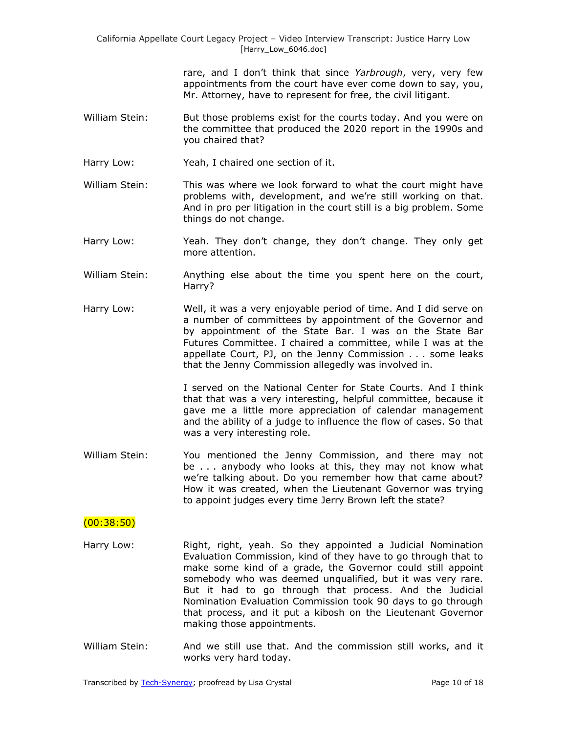rare, and I don't think that since *Yarbrough*, very, very few appointments from the court have ever come down to say, you, Mr. Attorney, have to represent for free, the civil litigant.

- William Stein: But those problems exist for the courts today. And you were on the committee that produced the 2020 report in the 1990s and you chaired that?
- Harry Low: Yeah, I chaired one section of it.
- William Stein: This was where we look forward to what the court might have problems with, development, and we're still working on that. And in pro per litigation in the court still is a big problem. Some things do not change.
- Harry Low: Yeah. They don't change, they don't change. They only get more attention.
- William Stein: Anything else about the time you spent here on the court, Harry?
- Harry Low: Well, it was a very enjoyable period of time. And I did serve on a number of committees by appointment of the Governor and by appointment of the State Bar. I was on the State Bar Futures Committee. I chaired a committee, while I was at the appellate Court, PJ, on the Jenny Commission . . . some leaks that the Jenny Commission allegedly was involved in.

I served on the National Center for State Courts. And I think that that was a very interesting, helpful committee, because it gave me a little more appreciation of calendar management and the ability of a judge to influence the flow of cases. So that was a very interesting role.

William Stein: You mentioned the Jenny Commission, and there may not be . . . anybody who looks at this, they may not know what we're talking about. Do you remember how that came about? How it was created, when the Lieutenant Governor was trying to appoint judges every time Jerry Brown left the state?

### (00:38:50)

- Harry Low: Right, right, yeah. So they appointed a Judicial Nomination Evaluation Commission, kind of they have to go through that to make some kind of a grade, the Governor could still appoint somebody who was deemed unqualified, but it was very rare. But it had to go through that process. And the Judicial Nomination Evaluation Commission took 90 days to go through that process, and it put a kibosh on the Lieutenant Governor making those appointments.
- William Stein: And we still use that. And the commission still works, and it works very hard today.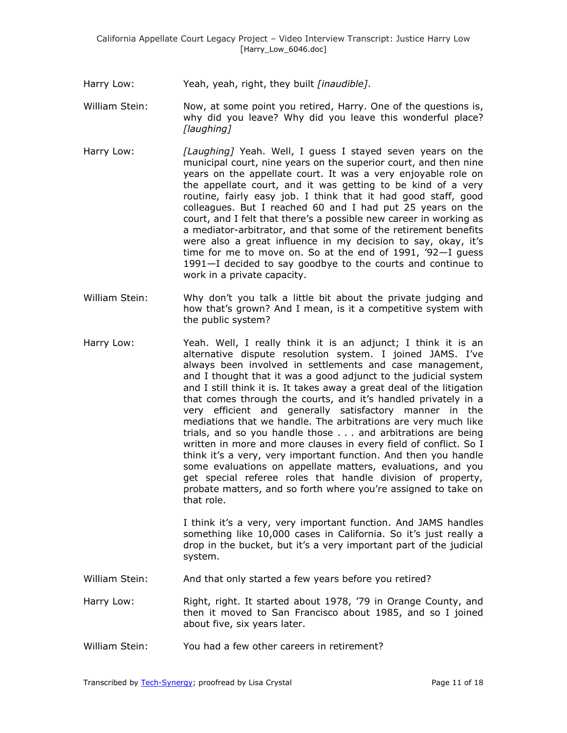- Harry Low: Yeah, yeah, right, they built *[inaudible]*.
- William Stein: Now, at some point you retired, Harry. One of the questions is, why did you leave? Why did you leave this wonderful place? *[laughing]*
- Harry Low: *[Laughing]* Yeah. Well, I guess I stayed seven years on the municipal court, nine years on the superior court, and then nine years on the appellate court. It was a very enjoyable role on the appellate court, and it was getting to be kind of a very routine, fairly easy job. I think that it had good staff, good colleagues. But I reached 60 and I had put 25 years on the court, and I felt that there's a possible new career in working as a mediator-arbitrator, and that some of the retirement benefits were also a great influence in my decision to say, okay, it's time for me to move on. So at the end of 1991, '92—I guess 1991—I decided to say goodbye to the courts and continue to work in a private capacity.
- William Stein: Why don't you talk a little bit about the private judging and how that's grown? And I mean, is it a competitive system with the public system?
- Harry Low: Yeah. Well, I really think it is an adjunct; I think it is an alternative dispute resolution system. I joined JAMS. I've always been involved in settlements and case management, and I thought that it was a good adjunct to the judicial system and I still think it is. It takes away a great deal of the litigation that comes through the courts, and it's handled privately in a very efficient and generally satisfactory manner in the mediations that we handle. The arbitrations are very much like trials, and so you handle those . . . and arbitrations are being written in more and more clauses in every field of conflict. So I think it's a very, very important function. And then you handle some evaluations on appellate matters, evaluations, and you get special referee roles that handle division of property, probate matters, and so forth where you're assigned to take on that role.

I think it's a very, very important function. And JAMS handles something like 10,000 cases in California. So it's just really a drop in the bucket, but it's a very important part of the judicial system.

William Stein: And that only started a few years before you retired?

Harry Low: Right, right. It started about 1978, '79 in Orange County, and then it moved to San Francisco about 1985, and so I joined about five, six years later.

William Stein: You had a few other careers in retirement?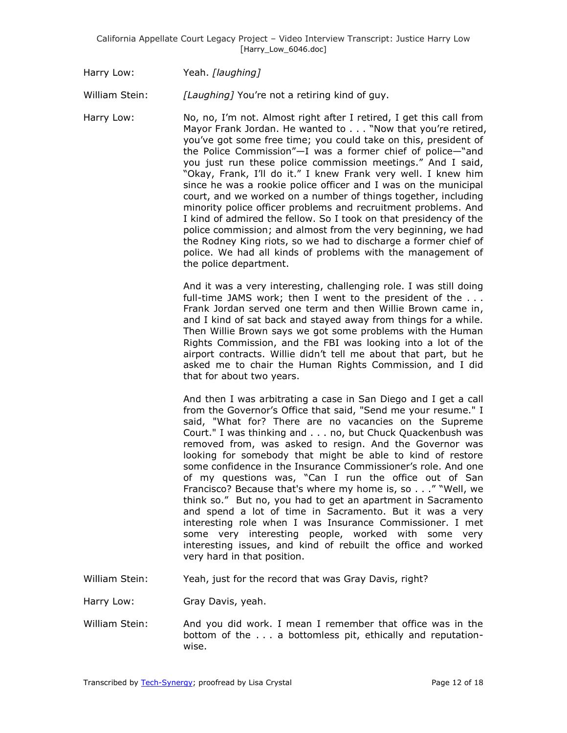Harry Low: Yeah. *[laughing]*

William Stein: *[Laughing]* You're not a retiring kind of guy.

Harry Low: No, no, I'm not. Almost right after I retired, I get this call from Mayor Frank Jordan. He wanted to . . . "Now that you're retired, you've got some free time; you could take on this, president of the Police Commission"—I was a former chief of police—"and you just run these police commission meetings." And I said, ―Okay, Frank, I'll do it.‖ I knew Frank very well. I knew him since he was a rookie police officer and I was on the municipal court, and we worked on a number of things together, including minority police officer problems and recruitment problems. And I kind of admired the fellow. So I took on that presidency of the police commission; and almost from the very beginning, we had the Rodney King riots, so we had to discharge a former chief of police. We had all kinds of problems with the management of the police department.

> And it was a very interesting, challenging role. I was still doing full-time JAMS work; then I went to the president of the . . . Frank Jordan served one term and then Willie Brown came in, and I kind of sat back and stayed away from things for a while. Then Willie Brown says we got some problems with the Human Rights Commission, and the FBI was looking into a lot of the airport contracts. Willie didn't tell me about that part, but he asked me to chair the Human Rights Commission, and I did that for about two years.

> And then I was arbitrating a case in San Diego and I get a call from the Governor's Office that said, "Send me your resume." I said, "What for? There are no vacancies on the Supreme Court." I was thinking and . . . no, but Chuck Quackenbush was removed from, was asked to resign. And the Governor was looking for somebody that might be able to kind of restore some confidence in the Insurance Commissioner's role. And one of my questions was, "Can I run the office out of San Francisco? Because that's where my home is, so . . . " "Well, we think so." But no, you had to get an apartment in Sacramento and spend a lot of time in Sacramento. But it was a very interesting role when I was Insurance Commissioner. I met some very interesting people, worked with some very interesting issues, and kind of rebuilt the office and worked very hard in that position.

William Stein: Yeah, just for the record that was Gray Davis, right?

Harry Low: Gray Davis, yeah.

William Stein: And you did work. I mean I remember that office was in the bottom of the . . . a bottomless pit, ethically and reputationwise.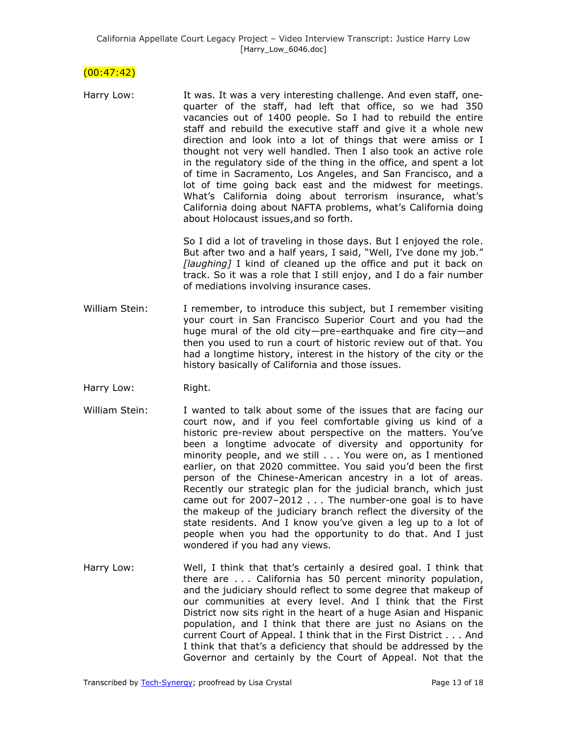### $(00:47:42)$

| Harry Low: | It was. It was a very interesting challenge. And even staff, one-<br>quarter of the staff, had left that office, so we had 350<br>vacancies out of 1400 people. So I had to rebuild the entire<br>staff and rebuild the executive staff and give it a whole new<br>direction and look into a lot of things that were amiss or I<br>thought not very well handled. Then I also took an active role<br>in the regulatory side of the thing in the office, and spent a lot<br>of time in Sacramento, Los Angeles, and San Francisco, and a<br>lot of time going back east and the midwest for meetings.<br>What's California doing about terrorism insurance, what's |
|------------|-------------------------------------------------------------------------------------------------------------------------------------------------------------------------------------------------------------------------------------------------------------------------------------------------------------------------------------------------------------------------------------------------------------------------------------------------------------------------------------------------------------------------------------------------------------------------------------------------------------------------------------------------------------------|
|            | California doing about NAFTA problems, what's California doing<br>about Holocaust issues, and so forth.                                                                                                                                                                                                                                                                                                                                                                                                                                                                                                                                                           |

So I did a lot of traveling in those days. But I enjoyed the role. But after two and a half years, I said, "Well, I've done my job." *[laughing]* I kind of cleaned up the office and put it back on track. So it was a role that I still enjoy, and I do a fair number of mediations involving insurance cases.

- William Stein: I remember, to introduce this subject, but I remember visiting your court in San Francisco Superior Court and you had the huge mural of the old city—pre–earthquake and fire city—and then you used to run a court of historic review out of that. You had a longtime history, interest in the history of the city or the history basically of California and those issues.
- Harry Low: Right.
- William Stein: I wanted to talk about some of the issues that are facing our court now, and if you feel comfortable giving us kind of a historic pre-review about perspective on the matters. You've been a longtime advocate of diversity and opportunity for minority people, and we still . . . You were on, as I mentioned earlier, on that 2020 committee. You said you'd been the first person of the Chinese-American ancestry in a lot of areas. Recently our strategic plan for the judicial branch, which just came out for 2007–2012 . . . The number-one goal is to have the makeup of the judiciary branch reflect the diversity of the state residents. And I know you've given a leg up to a lot of people when you had the opportunity to do that. And I just wondered if you had any views.
- Harry Low: Well, I think that that's certainly a desired goal. I think that there are . . . California has 50 percent minority population, and the judiciary should reflect to some degree that makeup of our communities at every level. And I think that the First District now sits right in the heart of a huge Asian and Hispanic population, and I think that there are just no Asians on the current Court of Appeal. I think that in the First District . . . And I think that that's a deficiency that should be addressed by the Governor and certainly by the Court of Appeal. Not that the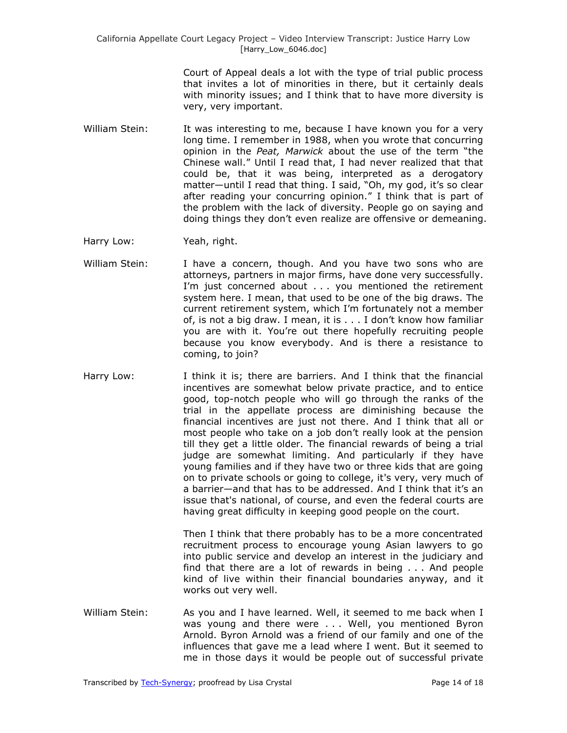Court of Appeal deals a lot with the type of trial public process that invites a lot of minorities in there, but it certainly deals with minority issues; and I think that to have more diversity is very, very important.

- William Stein: It was interesting to me, because I have known you for a very long time. I remember in 1988, when you wrote that concurring opinion in the *Peat, Marwick* about the use of the term "the Chinese wall." Until I read that, I had never realized that that could be, that it was being, interpreted as a derogatory matter—until I read that thing. I said, "Oh, my god, it's so clear after reading your concurring opinion." I think that is part of the problem with the lack of diversity. People go on saying and doing things they don't even realize are offensive or demeaning.
- Harry Low: Yeah, right.
- William Stein: I have a concern, though. And you have two sons who are attorneys, partners in major firms, have done very successfully. I'm just concerned about . . . you mentioned the retirement system here. I mean, that used to be one of the big draws. The current retirement system, which I'm fortunately not a member of, is not a big draw. I mean, it is . . . I don't know how familiar you are with it. You're out there hopefully recruiting people because you know everybody. And is there a resistance to coming, to join?
- Harry Low: I think it is; there are barriers. And I think that the financial incentives are somewhat below private practice, and to entice good, top-notch people who will go through the ranks of the trial in the appellate process are diminishing because the financial incentives are just not there. And I think that all or most people who take on a job don't really look at the pension till they get a little older. The financial rewards of being a trial judge are somewhat limiting. And particularly if they have young families and if they have two or three kids that are going on to private schools or going to college, it's very, very much of a barrier—and that has to be addressed. And I think that it's an issue that's national, of course, and even the federal courts are having great difficulty in keeping good people on the court.

Then I think that there probably has to be a more concentrated recruitment process to encourage young Asian lawyers to go into public service and develop an interest in the judiciary and find that there are a lot of rewards in being . . . And people kind of live within their financial boundaries anyway, and it works out very well.

William Stein: As you and I have learned. Well, it seemed to me back when I was young and there were . . . Well, you mentioned Byron Arnold. Byron Arnold was a friend of our family and one of the influences that gave me a lead where I went. But it seemed to me in those days it would be people out of successful private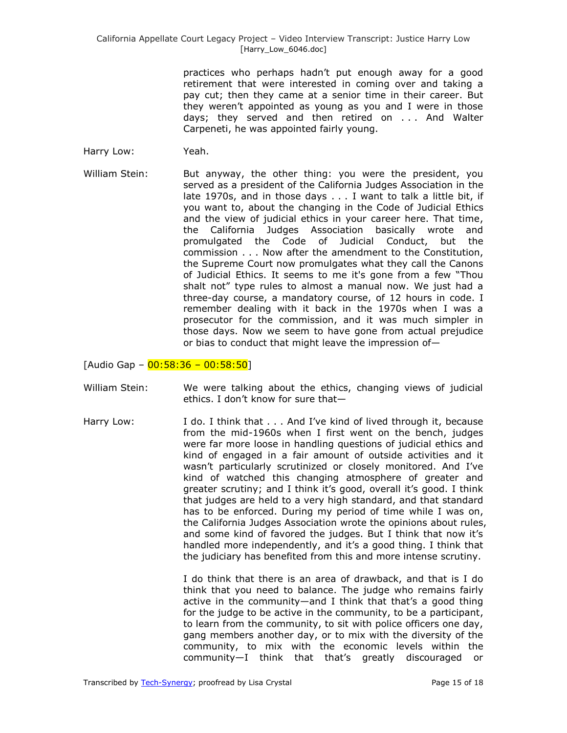practices who perhaps hadn't put enough away for a good retirement that were interested in coming over and taking a pay cut; then they came at a senior time in their career. But they weren't appointed as young as you and I were in those days; they served and then retired on . . . And Walter Carpeneti, he was appointed fairly young.

- Harry Low: Yeah.
- William Stein: But anyway, the other thing: you were the president, you served as a president of the California Judges Association in the late 1970s, and in those days . . . I want to talk a little bit, if you want to, about the changing in the Code of Judicial Ethics and the view of judicial ethics in your career here. That time, the California Judges Association basically wrote and promulgated the Code of Judicial Conduct, but the commission . . . Now after the amendment to the Constitution, the Supreme Court now promulgates what they call the Canons of Judicial Ethics. It seems to me it's gone from a few "Thou shalt not" type rules to almost a manual now. We just had a three-day course, a mandatory course, of 12 hours in code. I remember dealing with it back in the 1970s when I was a prosecutor for the commission, and it was much simpler in those days. Now we seem to have gone from actual prejudice or bias to conduct that might leave the impression of—

[Audio Gap –  $00:58:36 - 00:58:50$ ]

- William Stein: We were talking about the ethics, changing views of judicial ethics. I don't know for sure that—
- Harry Low: I do. I think that . . . And I've kind of lived through it, because from the mid-1960s when I first went on the bench, judges were far more loose in handling questions of judicial ethics and kind of engaged in a fair amount of outside activities and it wasn't particularly scrutinized or closely monitored. And I've kind of watched this changing atmosphere of greater and greater scrutiny; and I think it's good, overall it's good. I think that judges are held to a very high standard, and that standard has to be enforced. During my period of time while I was on, the California Judges Association wrote the opinions about rules, and some kind of favored the judges. But I think that now it's handled more independently, and it's a good thing. I think that the judiciary has benefited from this and more intense scrutiny.

I do think that there is an area of drawback, and that is I do think that you need to balance. The judge who remains fairly active in the community—and I think that that's a good thing for the judge to be active in the community, to be a participant, to learn from the community, to sit with police officers one day, gang members another day, or to mix with the diversity of the community, to mix with the economic levels within the community—I think that that's greatly discouraged or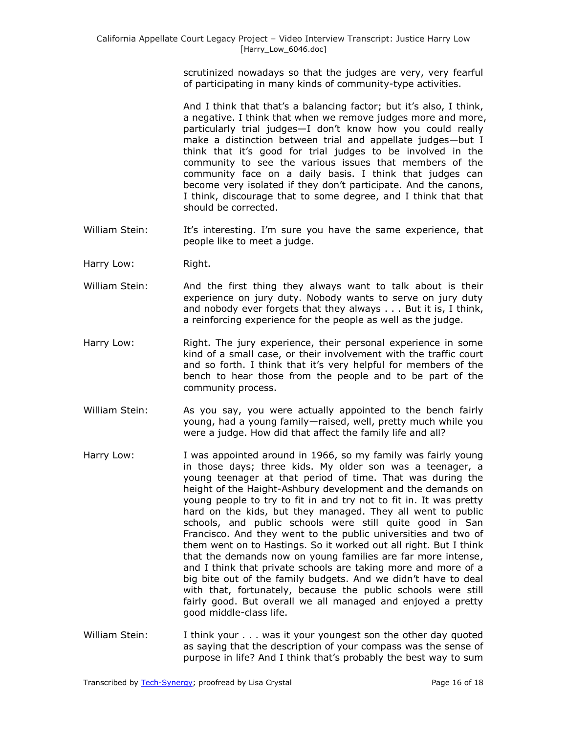scrutinized nowadays so that the judges are very, very fearful of participating in many kinds of community-type activities.

And I think that that's a balancing factor; but it's also, I think, a negative. I think that when we remove judges more and more, particularly trial judges—I don't know how you could really make a distinction between trial and appellate judges—but I think that it's good for trial judges to be involved in the community to see the various issues that members of the community face on a daily basis. I think that judges can become very isolated if they don't participate. And the canons, I think, discourage that to some degree, and I think that that should be corrected.

- William Stein: It's interesting. I'm sure you have the same experience, that people like to meet a judge.
- Harry Low: Right.
- William Stein: And the first thing they always want to talk about is their experience on jury duty. Nobody wants to serve on jury duty and nobody ever forgets that they always . . . But it is, I think, a reinforcing experience for the people as well as the judge.
- Harry Low: Right. The jury experience, their personal experience in some kind of a small case, or their involvement with the traffic court and so forth. I think that it's very helpful for members of the bench to hear those from the people and to be part of the community process.
- William Stein: As you say, you were actually appointed to the bench fairly young, had a young family—raised, well, pretty much while you were a judge. How did that affect the family life and all?
- Harry Low: I was appointed around in 1966, so my family was fairly young in those days; three kids. My older son was a teenager, a young teenager at that period of time. That was during the height of the Haight-Ashbury development and the demands on young people to try to fit in and try not to fit in. It was pretty hard on the kids, but they managed. They all went to public schools, and public schools were still quite good in San Francisco. And they went to the public universities and two of them went on to Hastings. So it worked out all right. But I think that the demands now on young families are far more intense, and I think that private schools are taking more and more of a big bite out of the family budgets. And we didn't have to deal with that, fortunately, because the public schools were still fairly good. But overall we all managed and enjoyed a pretty good middle-class life.
- William Stein: I think your . . . was it your youngest son the other day quoted as saying that the description of your compass was the sense of purpose in life? And I think that's probably the best way to sum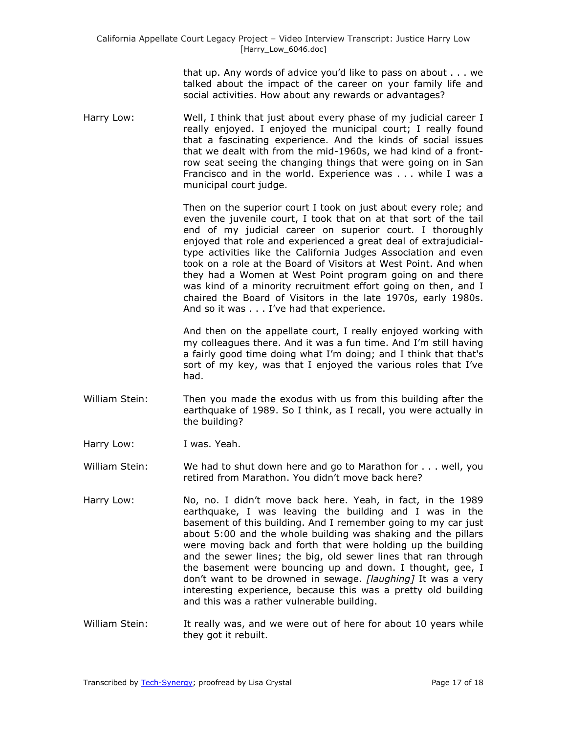that up. Any words of advice you'd like to pass on about . . . we talked about the impact of the career on your family life and social activities. How about any rewards or advantages?

Harry Low: Well, I think that just about every phase of my judicial career I really enjoyed. I enjoyed the municipal court; I really found that a fascinating experience. And the kinds of social issues that we dealt with from the mid-1960s, we had kind of a frontrow seat seeing the changing things that were going on in San Francisco and in the world. Experience was . . . while I was a municipal court judge.

> Then on the superior court I took on just about every role; and even the juvenile court, I took that on at that sort of the tail end of my judicial career on superior court. I thoroughly enjoyed that role and experienced a great deal of extrajudicialtype activities like the California Judges Association and even took on a role at the Board of Visitors at West Point. And when they had a Women at West Point program going on and there was kind of a minority recruitment effort going on then, and I chaired the Board of Visitors in the late 1970s, early 1980s. And so it was . . . I've had that experience.

> And then on the appellate court, I really enjoyed working with my colleagues there. And it was a fun time. And I'm still having a fairly good time doing what I'm doing; and I think that that's sort of my key, was that I enjoyed the various roles that I've had.

- William Stein: Then you made the exodus with us from this building after the earthquake of 1989. So I think, as I recall, you were actually in the building?
- Harry Low: I was. Yeah.
- William Stein: We had to shut down here and go to Marathon for . . . well, you retired from Marathon. You didn't move back here?
- Harry Low: No, no. I didn't move back here. Yeah, in fact, in the 1989 earthquake, I was leaving the building and I was in the basement of this building. And I remember going to my car just about 5:00 and the whole building was shaking and the pillars were moving back and forth that were holding up the building and the sewer lines; the big, old sewer lines that ran through the basement were bouncing up and down. I thought, gee, I don't want to be drowned in sewage. *[laughing]* It was a very interesting experience, because this was a pretty old building and this was a rather vulnerable building.
- William Stein: It really was, and we were out of here for about 10 years while they got it rebuilt.